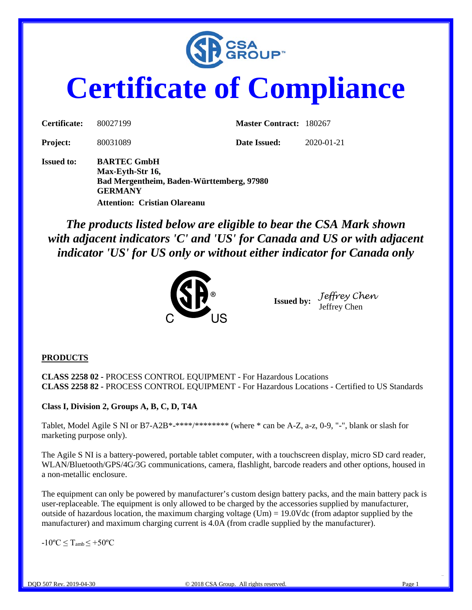

# **Certificate of Compliance**

| Certificate:      | 80027199                                                                                              | <b>Master Contract: 180267</b> |            |
|-------------------|-------------------------------------------------------------------------------------------------------|--------------------------------|------------|
| <b>Project:</b>   | 80031089                                                                                              | Date Issued:                   | 2020-01-21 |
| <b>Issued to:</b> | <b>BARTEC GmbH</b><br>Max-Eyth-Str 16,<br>Bad Mergentheim, Baden-Württemberg, 97980<br><b>GERMANY</b> |                                |            |

**Attention: Cristian Olareanu**

*The products listed below are eligible to bear the CSA Mark shown with adjacent indicators 'C' and 'US' for Canada and US or with adjacent indicator 'US' for US only or without either indicator for Canada only* 



**Issued by:** *Jeffrey Chen* Jeffrey Chen

#### **PRODUCTS**

**CLASS 2258 02 -** PROCESS CONTROL EQUIPMENT - For Hazardous Locations **CLASS 2258 82 -** PROCESS CONTROL EQUIPMENT - For Hazardous Locations - Certified to US Standards

#### **Class I, Division 2, Groups A, B, C, D, T4A**

Tablet, Model Agile S NI or B7-A2B\*-\*\*\*\*/\*\*\*\*\*\*\*\*\* (where \* can be A-Z, a-z, 0-9, "-", blank or slash for marketing purpose only).

The Agile S NI is a battery-powered, portable tablet computer, with a touchscreen display, micro SD card reader, WLAN/Bluetooth/GPS/4G/3G communications, camera, flashlight, barcode readers and other options, housed in a non-metallic enclosure.

The equipment can only be powered by manufacturer's custom design battery packs, and the main battery pack is user-replaceable. The equipment is only allowed to be charged by the accessories supplied by manufacturer, outside of hazardous location, the maximum charging voltage (Um) =  $19.0$ Vdc (from adaptor supplied by the manufacturer) and maximum charging current is 4.0A (from cradle supplied by the manufacturer).

 $-10\text{°C} \leq T_{amb} \leq +50\text{°C}$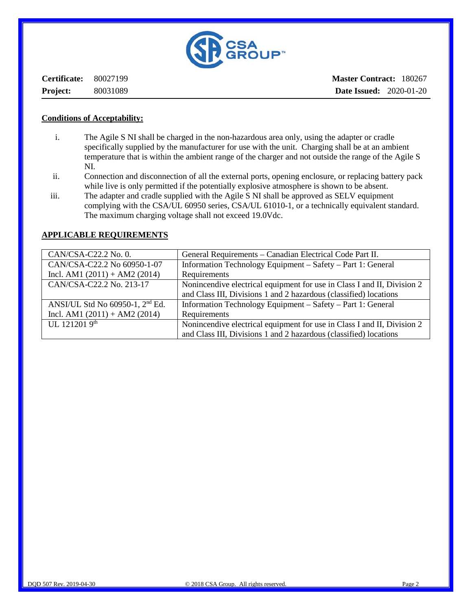

**Certificate:** 80027199 **Project:** 80031089

#### **Conditions of Acceptability:**

- i. The Agile S NI shall be charged in the non-hazardous area only, using the adapter or cradle specifically supplied by the manufacturer for use with the unit. Charging shall be at an ambient temperature that is within the ambient range of the charger and not outside the range of the Agile S NI.
- ii. Connection and disconnection of all the external ports, opening enclosure, or replacing battery pack while live is only permitted if the potentially explosive atmosphere is shown to be absent.
- iii. The adapter and cradle supplied with the Agile S NI shall be approved as SELV equipment complying with the CSA/UL 60950 series, CSA/UL 61010-1, or a technically equivalent standard. The maximum charging voltage shall not exceed 19.0Vdc.

| CAN/CSA-C22.2 No. 0.                        | General Requirements – Canadian Electrical Code Part II.                |
|---------------------------------------------|-------------------------------------------------------------------------|
| CAN/CSA-C22.2 No 60950-1-07                 | Information Technology Equipment – Safety – Part 1: General             |
| Incl. AM1 $(2011) + AM2 (2014)$             | Requirements                                                            |
| CAN/CSA-C22.2 No. 213-17                    | Nonincendive electrical equipment for use in Class I and II, Division 2 |
|                                             | and Class III, Divisions 1 and 2 hazardous (classified) locations       |
| ANSI/UL Std No 60950-1, 2 <sup>nd</sup> Ed. | Information Technology Equipment - Safety - Part 1: General             |
| Incl. AM1 $(2011) + AM2 (2014)$             | Requirements                                                            |
| UL 121201 9th                               | Nonincendive electrical equipment for use in Class I and II, Division 2 |
|                                             | and Class III, Divisions 1 and 2 hazardous (classified) locations       |

#### **APPLICABLE REQUIREMENTS**